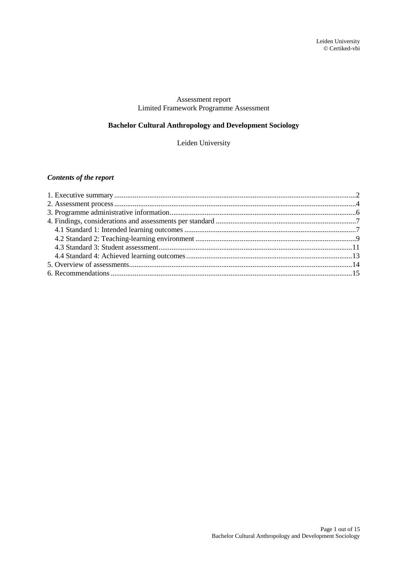## Assessment report Limited Framework Programme Assessment

# **Bachelor Cultural Anthropology and Development Sociology**

Leiden University

# *Contents of the report*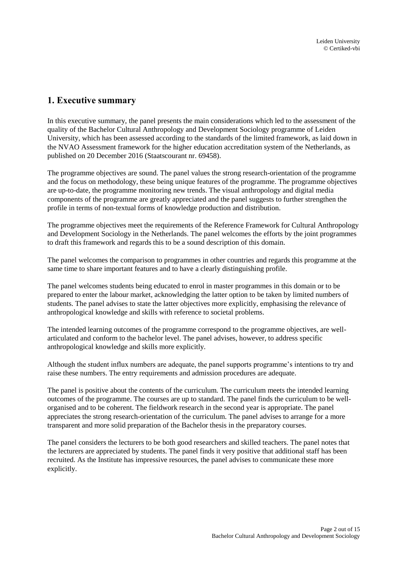# <span id="page-1-0"></span>**1. Executive summary**

In this executive summary, the panel presents the main considerations which led to the assessment of the quality of the Bachelor Cultural Anthropology and Development Sociology programme of Leiden University, which has been assessed according to the standards of the limited framework, as laid down in the NVAO Assessment framework for the higher education accreditation system of the Netherlands, as published on 20 December 2016 (Staatscourant nr. 69458).

The programme objectives are sound. The panel values the strong research-orientation of the programme and the focus on methodology, these being unique features of the programme. The programme objectives are up-to-date, the programme monitoring new trends. The visual anthropology and digital media components of the programme are greatly appreciated and the panel suggests to further strengthen the profile in terms of non-textual forms of knowledge production and distribution.

The programme objectives meet the requirements of the Reference Framework for Cultural Anthropology and Development Sociology in the Netherlands. The panel welcomes the efforts by the joint programmes to draft this framework and regards this to be a sound description of this domain.

The panel welcomes the comparison to programmes in other countries and regards this programme at the same time to share important features and to have a clearly distinguishing profile.

The panel welcomes students being educated to enrol in master programmes in this domain or to be prepared to enter the labour market, acknowledging the latter option to be taken by limited numbers of students. The panel advises to state the latter objectives more explicitly, emphasising the relevance of anthropological knowledge and skills with reference to societal problems.

The intended learning outcomes of the programme correspond to the programme objectives, are wellarticulated and conform to the bachelor level. The panel advises, however, to address specific anthropological knowledge and skills more explicitly.

Although the student influx numbers are adequate, the panel supports programme's intentions to try and raise these numbers. The entry requirements and admission procedures are adequate.

The panel is positive about the contents of the curriculum. The curriculum meets the intended learning outcomes of the programme. The courses are up to standard. The panel finds the curriculum to be wellorganised and to be coherent. The fieldwork research in the second year is appropriate. The panel appreciates the strong research-orientation of the curriculum. The panel advises to arrange for a more transparent and more solid preparation of the Bachelor thesis in the preparatory courses.

The panel considers the lecturers to be both good researchers and skilled teachers. The panel notes that the lecturers are appreciated by students. The panel finds it very positive that additional staff has been recruited. As the Institute has impressive resources, the panel advises to communicate these more explicitly.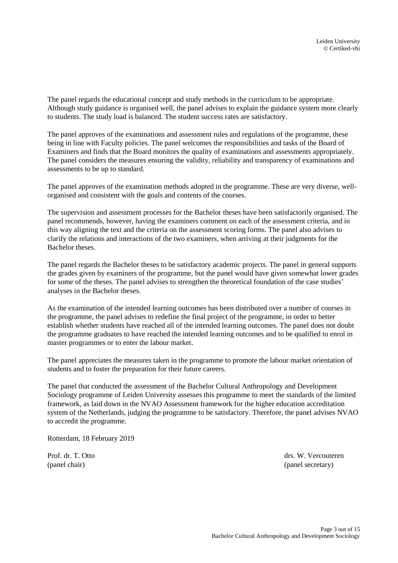The panel regards the educational concept and study methods in the curriculum to be appropriate. Although study guidance is organised well, the panel advises to explain the guidance system more clearly to students. The study load is balanced. The student success rates are satisfactory.

The panel approves of the examinations and assessment rules and regulations of the programme, these being in line with Faculty policies. The panel welcomes the responsibilities and tasks of the Board of Examiners and finds that the Board monitors the quality of examinations and assessments appropriately. The panel considers the measures ensuring the validity, reliability and transparency of examinations and assessments to be up to standard.

The panel approves of the examination methods adopted in the programme. These are very diverse, wellorganised and consistent with the goals and contents of the courses.

The supervision and assessment processes for the Bachelor theses have been satisfactorily organised. The panel recommends, however, having the examiners comment on each of the assessment criteria, and in this way aligning the text and the criteria on the assessment scoring forms. The panel also advises to clarify the relations and interactions of the two examiners, when arriving at their judgments for the Bachelor theses.

The panel regards the Bachelor theses to be satisfactory academic projects. The panel in general supports the grades given by examiners of the programme, but the panel would have given somewhat lower grades for some of the theses. The panel advises to strengthen the theoretical foundation of the case studies' analyses in the Bachelor theses.

As the examination of the intended learning outcomes has been distributed over a number of courses in the programme, the panel advises to redefine the final project of the programme, in order to better establish whether students have reached all of the intended learning outcomes. The panel does not doubt the programme graduates to have reached the intended learning outcomes and to be qualified to enrol in master programmes or to enter the labour market.

The panel appreciates the measures taken in the programme to promote the labour market orientation of students and to foster the preparation for their future careers.

The panel that conducted the assessment of the Bachelor Cultural Anthropology and Development Sociology programme of Leiden University assesses this programme to meet the standards of the limited framework, as laid down in the NVAO Assessment framework for the higher education accreditation system of the Netherlands, judging the programme to be satisfactory. Therefore, the panel advises NVAO to accredit the programme.

Rotterdam, 18 February 2019

Prof. dr. T. Otto drs. W. Vercouteren (panel chair) (panel secretary)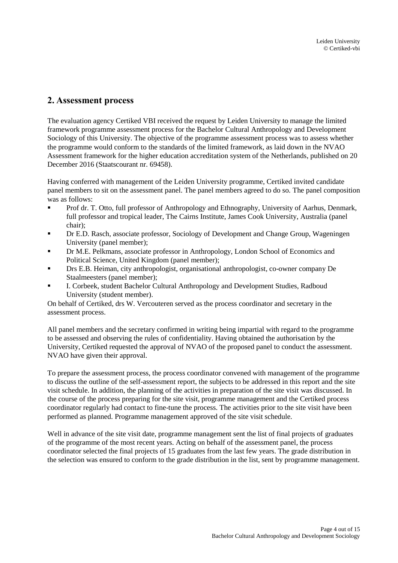# <span id="page-3-0"></span>**2. Assessment process**

The evaluation agency Certiked VBI received the request by Leiden University to manage the limited framework programme assessment process for the Bachelor Cultural Anthropology and Development Sociology of this University. The objective of the programme assessment process was to assess whether the programme would conform to the standards of the limited framework, as laid down in the NVAO Assessment framework for the higher education accreditation system of the Netherlands, published on 20 December 2016 (Staatscourant nr. 69458).

Having conferred with management of the Leiden University programme, Certiked invited candidate panel members to sit on the assessment panel. The panel members agreed to do so. The panel composition was as follows:

- Prof dr. T. Otto, full professor of Anthropology and Ethnography, University of Aarhus, Denmark, full professor and tropical leader, The Cairns Institute, James Cook University, Australia (panel chair);
- Dr E.D. Rasch, associate professor, Sociology of Development and Change Group, Wageningen University (panel member);
- Dr M.E. Pelkmans, associate professor in Anthropology, London School of Economics and Political Science, United Kingdom (panel member);
- Drs E.B. Heiman, city anthropologist, organisational anthropologist, co-owner company De Staalmeesters (panel member);
- I. Corbeek, student Bachelor Cultural Anthropology and Development Studies, Radboud University (student member).

On behalf of Certiked, drs W. Vercouteren served as the process coordinator and secretary in the assessment process.

All panel members and the secretary confirmed in writing being impartial with regard to the programme to be assessed and observing the rules of confidentiality. Having obtained the authorisation by the University, Certiked requested the approval of NVAO of the proposed panel to conduct the assessment. NVAO have given their approval.

To prepare the assessment process, the process coordinator convened with management of the programme to discuss the outline of the self-assessment report, the subjects to be addressed in this report and the site visit schedule. In addition, the planning of the activities in preparation of the site visit was discussed. In the course of the process preparing for the site visit, programme management and the Certiked process coordinator regularly had contact to fine-tune the process. The activities prior to the site visit have been performed as planned. Programme management approved of the site visit schedule.

Well in advance of the site visit date, programme management sent the list of final projects of graduates of the programme of the most recent years. Acting on behalf of the assessment panel, the process coordinator selected the final projects of 15 graduates from the last few years. The grade distribution in the selection was ensured to conform to the grade distribution in the list, sent by programme management.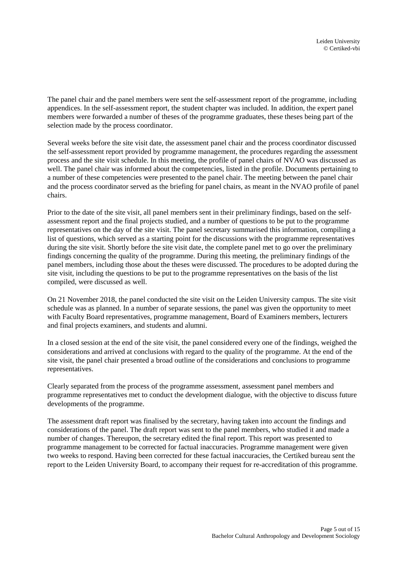The panel chair and the panel members were sent the self-assessment report of the programme, including appendices. In the self-assessment report, the student chapter was included. In addition, the expert panel members were forwarded a number of theses of the programme graduates, these theses being part of the selection made by the process coordinator.

Several weeks before the site visit date, the assessment panel chair and the process coordinator discussed the self-assessment report provided by programme management, the procedures regarding the assessment process and the site visit schedule. In this meeting, the profile of panel chairs of NVAO was discussed as well. The panel chair was informed about the competencies, listed in the profile. Documents pertaining to a number of these competencies were presented to the panel chair. The meeting between the panel chair and the process coordinator served as the briefing for panel chairs, as meant in the NVAO profile of panel chairs.

Prior to the date of the site visit, all panel members sent in their preliminary findings, based on the selfassessment report and the final projects studied, and a number of questions to be put to the programme representatives on the day of the site visit. The panel secretary summarised this information, compiling a list of questions, which served as a starting point for the discussions with the programme representatives during the site visit. Shortly before the site visit date, the complete panel met to go over the preliminary findings concerning the quality of the programme. During this meeting, the preliminary findings of the panel members, including those about the theses were discussed. The procedures to be adopted during the site visit, including the questions to be put to the programme representatives on the basis of the list compiled, were discussed as well.

On 21 November 2018, the panel conducted the site visit on the Leiden University campus. The site visit schedule was as planned. In a number of separate sessions, the panel was given the opportunity to meet with Faculty Board representatives, programme management, Board of Examiners members, lecturers and final projects examiners, and students and alumni.

In a closed session at the end of the site visit, the panel considered every one of the findings, weighed the considerations and arrived at conclusions with regard to the quality of the programme. At the end of the site visit, the panel chair presented a broad outline of the considerations and conclusions to programme representatives.

Clearly separated from the process of the programme assessment, assessment panel members and programme representatives met to conduct the development dialogue, with the objective to discuss future developments of the programme.

The assessment draft report was finalised by the secretary, having taken into account the findings and considerations of the panel. The draft report was sent to the panel members, who studied it and made a number of changes. Thereupon, the secretary edited the final report. This report was presented to programme management to be corrected for factual inaccuracies. Programme management were given two weeks to respond. Having been corrected for these factual inaccuracies, the Certiked bureau sent the report to the Leiden University Board, to accompany their request for re-accreditation of this programme.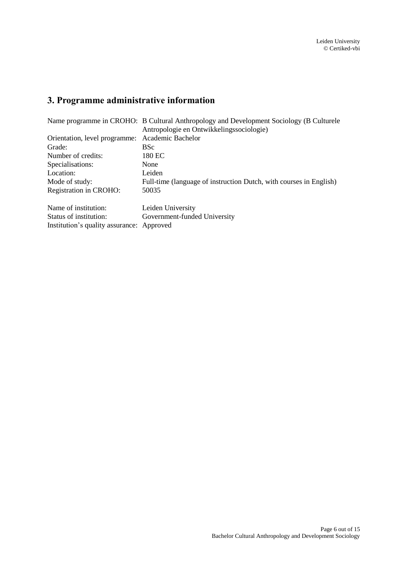# <span id="page-5-0"></span>**3. Programme administrative information**

|                                                 | Name programme in CROHO: B Cultural Anthropology and Development Sociology (B Culturele |  |  |
|-------------------------------------------------|-----------------------------------------------------------------------------------------|--|--|
|                                                 | Antropologie en Ontwikkelingssociologie)                                                |  |  |
| Orientation, level programme: Academic Bachelor |                                                                                         |  |  |
| Grade:                                          | <b>BSc</b>                                                                              |  |  |
| Number of credits:                              | 180 EC                                                                                  |  |  |
| Specialisations:                                | None                                                                                    |  |  |
| Location:                                       | Leiden                                                                                  |  |  |
| Mode of study:                                  | Full-time (language of instruction Dutch, with courses in English)                      |  |  |
| Registration in CROHO:                          | 50035                                                                                   |  |  |
| Name of institution:                            | Leiden University                                                                       |  |  |
| Status of institution:                          | Government-funded University                                                            |  |  |
| Institution's quality assurance: Approved       |                                                                                         |  |  |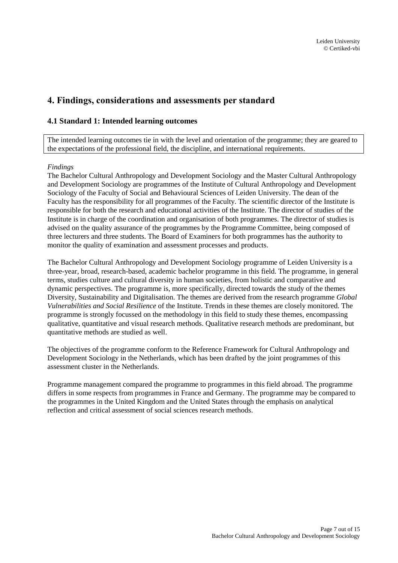# <span id="page-6-0"></span>**4. Findings, considerations and assessments per standard**

## <span id="page-6-1"></span>**4.1 Standard 1: Intended learning outcomes**

The intended learning outcomes tie in with the level and orientation of the programme; they are geared to the expectations of the professional field, the discipline, and international requirements.

#### *Findings*

The Bachelor Cultural Anthropology and Development Sociology and the Master Cultural Anthropology and Development Sociology are programmes of the Institute of Cultural Anthropology and Development Sociology of the Faculty of Social and Behavioural Sciences of Leiden University. The dean of the Faculty has the responsibility for all programmes of the Faculty. The scientific director of the Institute is responsible for both the research and educational activities of the Institute. The director of studies of the Institute is in charge of the coordination and organisation of both programmes. The director of studies is advised on the quality assurance of the programmes by the Programme Committee, being composed of three lecturers and three students. The Board of Examiners for both programmes has the authority to monitor the quality of examination and assessment processes and products.

The Bachelor Cultural Anthropology and Development Sociology programme of Leiden University is a three-year, broad, research-based, academic bachelor programme in this field. The programme, in general terms, studies culture and cultural diversity in human societies, from holistic and comparative and dynamic perspectives. The programme is, more specifically, directed towards the study of the themes Diversity, Sustainability and Digitalisation. The themes are derived from the research programme *Global Vulnerabilities and Social Resilience* of the Institute. Trends in these themes are closely monitored. The programme is strongly focussed on the methodology in this field to study these themes, encompassing qualitative, quantitative and visual research methods. Qualitative research methods are predominant, but quantitative methods are studied as well.

The objectives of the programme conform to the Reference Framework for Cultural Anthropology and Development Sociology in the Netherlands, which has been drafted by the joint programmes of this assessment cluster in the Netherlands.

Programme management compared the programme to programmes in this field abroad. The programme differs in some respects from programmes in France and Germany. The programme may be compared to the programmes in the United Kingdom and the United States through the emphasis on analytical reflection and critical assessment of social sciences research methods.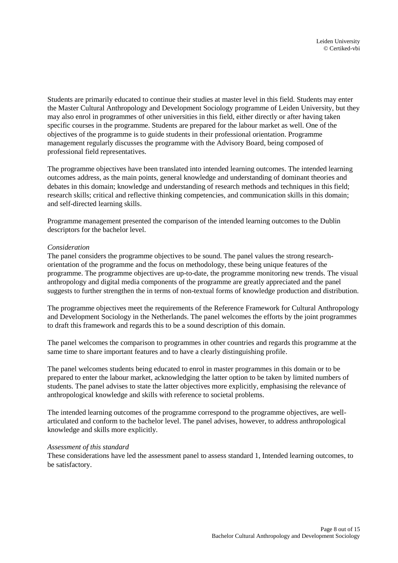Students are primarily educated to continue their studies at master level in this field. Students may enter the Master Cultural Anthropology and Development Sociology programme of Leiden University, but they may also enrol in programmes of other universities in this field, either directly or after having taken specific courses in the programme. Students are prepared for the labour market as well. One of the objectives of the programme is to guide students in their professional orientation. Programme management regularly discusses the programme with the Advisory Board, being composed of professional field representatives.

The programme objectives have been translated into intended learning outcomes. The intended learning outcomes address, as the main points, general knowledge and understanding of dominant theories and debates in this domain; knowledge and understanding of research methods and techniques in this field; research skills; critical and reflective thinking competencies, and communication skills in this domain; and self-directed learning skills.

Programme management presented the comparison of the intended learning outcomes to the Dublin descriptors for the bachelor level.

#### *Consideration*

The panel considers the programme objectives to be sound. The panel values the strong researchorientation of the programme and the focus on methodology, these being unique features of the programme. The programme objectives are up-to-date, the programme monitoring new trends. The visual anthropology and digital media components of the programme are greatly appreciated and the panel suggests to further strengthen the in terms of non-textual forms of knowledge production and distribution.

The programme objectives meet the requirements of the Reference Framework for Cultural Anthropology and Development Sociology in the Netherlands. The panel welcomes the efforts by the joint programmes to draft this framework and regards this to be a sound description of this domain.

The panel welcomes the comparison to programmes in other countries and regards this programme at the same time to share important features and to have a clearly distinguishing profile.

The panel welcomes students being educated to enrol in master programmes in this domain or to be prepared to enter the labour market, acknowledging the latter option to be taken by limited numbers of students. The panel advises to state the latter objectives more explicitly, emphasising the relevance of anthropological knowledge and skills with reference to societal problems.

The intended learning outcomes of the programme correspond to the programme objectives, are wellarticulated and conform to the bachelor level. The panel advises, however, to address anthropological knowledge and skills more explicitly.

#### *Assessment of this standard*

These considerations have led the assessment panel to assess standard 1, Intended learning outcomes, to be satisfactory.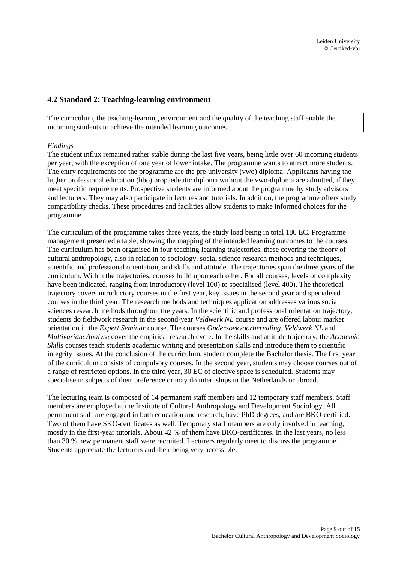## <span id="page-8-0"></span>**4.2 Standard 2: Teaching-learning environment**

The curriculum, the teaching-learning environment and the quality of the teaching staff enable the incoming students to achieve the intended learning outcomes.

#### *Findings*

The student influx remained rather stable during the last five years, being little over 60 incoming students per year, with the exception of one year of lower intake. The programme wants to attract more students. The entry requirements for the programme are the pre-university (vwo) diploma. Applicants having the higher professional education (hbo) propaedeutic diploma without the vwo-diploma are admitted, if they meet specific requirements. Prospective students are informed about the programme by study advisors and lecturers. They may also participate in lectures and tutorials. In addition, the programme offers study compatibility checks. These procedures and facilities allow students to make informed choices for the programme.

The curriculum of the programme takes three years, the study load being in total 180 EC. Programme management presented a table, showing the mapping of the intended learning outcomes to the courses. The curriculum has been organised in four teaching-learning trajectories, these covering the theory of cultural anthropology, also in relation to sociology, social science research methods and techniques, scientific and professional orientation, and skills and attitude. The trajectories span the three years of the curriculum. Within the trajectories, courses build upon each other. For all courses, levels of complexity have been indicated, ranging from introductory (level 100) to specialised (level 400). The theoretical trajectory covers introductory courses in the first year, key issues in the second year and specialised courses in the third year. The research methods and techniques application addresses various social sciences research methods throughout the years. In the scientific and professional orientation trajectory, students do fieldwork research in the second-year *Veldwerk NL* course and are offered labour market orientation in the *Expert Seminar* course. The courses *Onderzoekvoorbereiding*, *Veldwerk NL* and *Multivariate Analyse* cover the empirical research cycle. In the skills and attitude trajectory, the *Academic Skills* courses teach students academic writing and presentation skills and introduce them to scientific integrity issues. At the conclusion of the curriculum, student complete the Bachelor thesis. The first year of the curriculum consists of compulsory courses. In the second year, students may choose courses out of a range of restricted options. In the third year, 30 EC of elective space is scheduled. Students may specialise in subjects of their preference or may do internships in the Netherlands or abroad.

The lecturing team is composed of 14 permanent staff members and 12 temporary staff members. Staff members are employed at the Institute of Cultural Anthropology and Development Sociology. All permanent staff are engaged in both education and research, have PhD degrees, and are BKO-certified. Two of them have SKO-certificates as well. Temporary staff members are only involved in teaching, mostly in the first-year tutorials. About 42 % of them have BKO-certificates. In the last years, no less than 30 % new permanent staff were recruited. Lecturers regularly meet to discuss the programme. Students appreciate the lecturers and their being very accessible.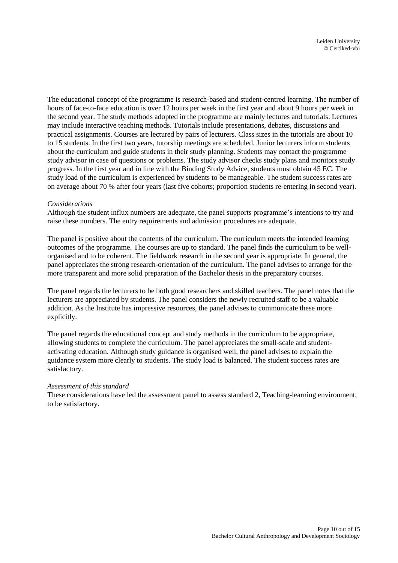The educational concept of the programme is research-based and student-centred learning. The number of hours of face-to-face education is over 12 hours per week in the first year and about 9 hours per week in the second year. The study methods adopted in the programme are mainly lectures and tutorials. Lectures may include interactive teaching methods. Tutorials include presentations, debates, discussions and practical assignments. Courses are lectured by pairs of lecturers. Class sizes in the tutorials are about 10 to 15 students. In the first two years, tutorship meetings are scheduled. Junior lecturers inform students about the curriculum and guide students in their study planning. Students may contact the programme study advisor in case of questions or problems. The study advisor checks study plans and monitors study progress. In the first year and in line with the Binding Study Advice, students must obtain 45 EC. The study load of the curriculum is experienced by students to be manageable. The student success rates are on average about 70 % after four years (last five cohorts; proportion students re-entering in second year).

#### *Considerations*

Although the student influx numbers are adequate, the panel supports programme's intentions to try and raise these numbers. The entry requirements and admission procedures are adequate.

The panel is positive about the contents of the curriculum. The curriculum meets the intended learning outcomes of the programme. The courses are up to standard. The panel finds the curriculum to be wellorganised and to be coherent. The fieldwork research in the second year is appropriate. In general, the panel appreciates the strong research-orientation of the curriculum. The panel advises to arrange for the more transparent and more solid preparation of the Bachelor thesis in the preparatory courses.

The panel regards the lecturers to be both good researchers and skilled teachers. The panel notes that the lecturers are appreciated by students. The panel considers the newly recruited staff to be a valuable addition. As the Institute has impressive resources, the panel advises to communicate these more explicitly.

The panel regards the educational concept and study methods in the curriculum to be appropriate, allowing students to complete the curriculum. The panel appreciates the small-scale and studentactivating education. Although study guidance is organised well, the panel advises to explain the guidance system more clearly to students. The study load is balanced. The student success rates are satisfactory.

#### *Assessment of this standard*

These considerations have led the assessment panel to assess standard 2, Teaching-learning environment, to be satisfactory.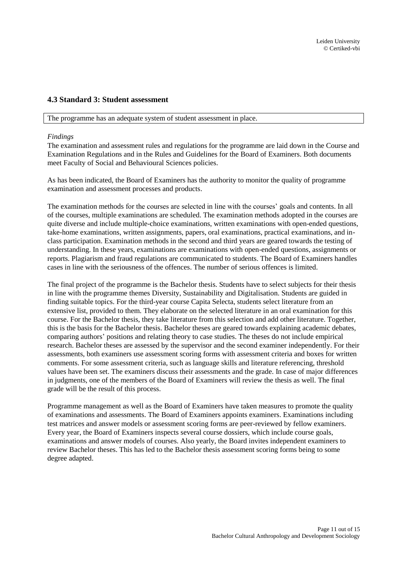## <span id="page-10-0"></span>**4.3 Standard 3: Student assessment**

The programme has an adequate system of student assessment in place.

#### *Findings*

The examination and assessment rules and regulations for the programme are laid down in the Course and Examination Regulations and in the Rules and Guidelines for the Board of Examiners. Both documents meet Faculty of Social and Behavioural Sciences policies.

As has been indicated, the Board of Examiners has the authority to monitor the quality of programme examination and assessment processes and products.

The examination methods for the courses are selected in line with the courses' goals and contents. In all of the courses, multiple examinations are scheduled. The examination methods adopted in the courses are quite diverse and include multiple-choice examinations, written examinations with open-ended questions, take-home examinations, written assignments, papers, oral examinations, practical examinations, and inclass participation. Examination methods in the second and third years are geared towards the testing of understanding. In these years, examinations are examinations with open-ended questions, assignments or reports. Plagiarism and fraud regulations are communicated to students. The Board of Examiners handles cases in line with the seriousness of the offences. The number of serious offences is limited.

The final project of the programme is the Bachelor thesis. Students have to select subjects for their thesis in line with the programme themes Diversity, Sustainability and Digitalisation. Students are guided in finding suitable topics. For the third-year course Capita Selecta, students select literature from an extensive list, provided to them. They elaborate on the selected literature in an oral examination for this course. For the Bachelor thesis, they take literature from this selection and add other literature. Together, this is the basis for the Bachelor thesis. Bachelor theses are geared towards explaining academic debates, comparing authors' positions and relating theory to case studies. The theses do not include empirical research. Bachelor theses are assessed by the supervisor and the second examiner independently. For their assessments, both examiners use assessment scoring forms with assessment criteria and boxes for written comments. For some assessment criteria, such as language skills and literature referencing, threshold values have been set. The examiners discuss their assessments and the grade. In case of major differences in judgments, one of the members of the Board of Examiners will review the thesis as well. The final grade will be the result of this process.

Programme management as well as the Board of Examiners have taken measures to promote the quality of examinations and assessments. The Board of Examiners appoints examiners. Examinations including test matrices and answer models or assessment scoring forms are peer-reviewed by fellow examiners. Every year, the Board of Examiners inspects several course dossiers, which include course goals, examinations and answer models of courses. Also yearly, the Board invites independent examiners to review Bachelor theses. This has led to the Bachelor thesis assessment scoring forms being to some degree adapted.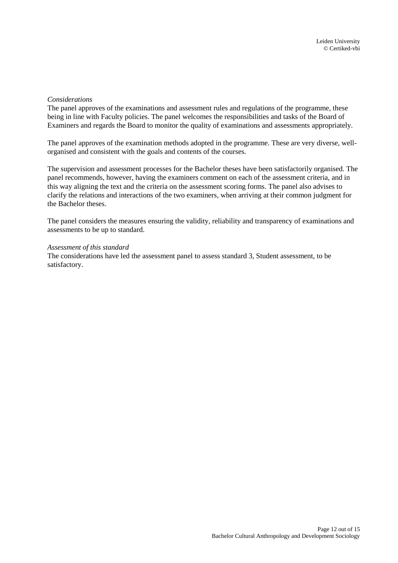#### *Considerations*

The panel approves of the examinations and assessment rules and regulations of the programme, these being in line with Faculty policies. The panel welcomes the responsibilities and tasks of the Board of Examiners and regards the Board to monitor the quality of examinations and assessments appropriately.

The panel approves of the examination methods adopted in the programme. These are very diverse, wellorganised and consistent with the goals and contents of the courses.

The supervision and assessment processes for the Bachelor theses have been satisfactorily organised. The panel recommends, however, having the examiners comment on each of the assessment criteria, and in this way aligning the text and the criteria on the assessment scoring forms. The panel also advises to clarify the relations and interactions of the two examiners, when arriving at their common judgment for the Bachelor theses.

The panel considers the measures ensuring the validity, reliability and transparency of examinations and assessments to be up to standard.

#### *Assessment of this standard*

The considerations have led the assessment panel to assess standard 3, Student assessment, to be satisfactory.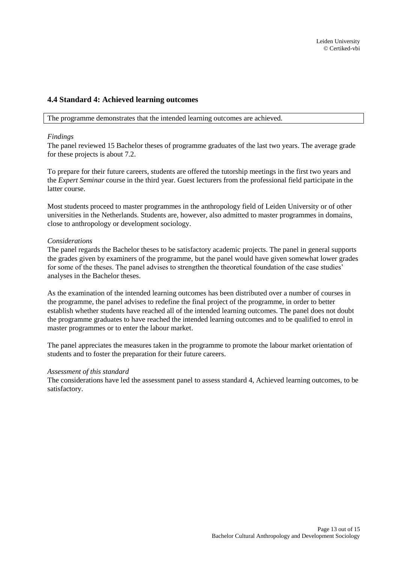## <span id="page-12-0"></span>**4.4 Standard 4: Achieved learning outcomes**

The programme demonstrates that the intended learning outcomes are achieved.

#### *Findings*

The panel reviewed 15 Bachelor theses of programme graduates of the last two years. The average grade for these projects is about 7.2.

To prepare for their future careers, students are offered the tutorship meetings in the first two years and the *Expert Seminar* course in the third year. Guest lecturers from the professional field participate in the latter course.

Most students proceed to master programmes in the anthropology field of Leiden University or of other universities in the Netherlands. Students are, however, also admitted to master programmes in domains, close to anthropology or development sociology.

#### *Considerations*

The panel regards the Bachelor theses to be satisfactory academic projects. The panel in general supports the grades given by examiners of the programme, but the panel would have given somewhat lower grades for some of the theses. The panel advises to strengthen the theoretical foundation of the case studies' analyses in the Bachelor theses.

As the examination of the intended learning outcomes has been distributed over a number of courses in the programme, the panel advises to redefine the final project of the programme, in order to better establish whether students have reached all of the intended learning outcomes. The panel does not doubt the programme graduates to have reached the intended learning outcomes and to be qualified to enrol in master programmes or to enter the labour market.

The panel appreciates the measures taken in the programme to promote the labour market orientation of students and to foster the preparation for their future careers.

#### *Assessment of this standard*

The considerations have led the assessment panel to assess standard 4, Achieved learning outcomes, to be satisfactory.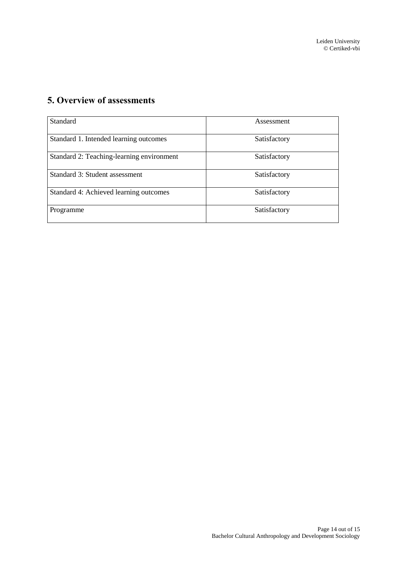# <span id="page-13-0"></span>**5. Overview of assessments**

| Standard                                  | Assessment   |
|-------------------------------------------|--------------|
| Standard 1. Intended learning outcomes    | Satisfactory |
| Standard 2: Teaching-learning environment | Satisfactory |
| Standard 3: Student assessment            | Satisfactory |
| Standard 4: Achieved learning outcomes    | Satisfactory |
| Programme                                 | Satisfactory |